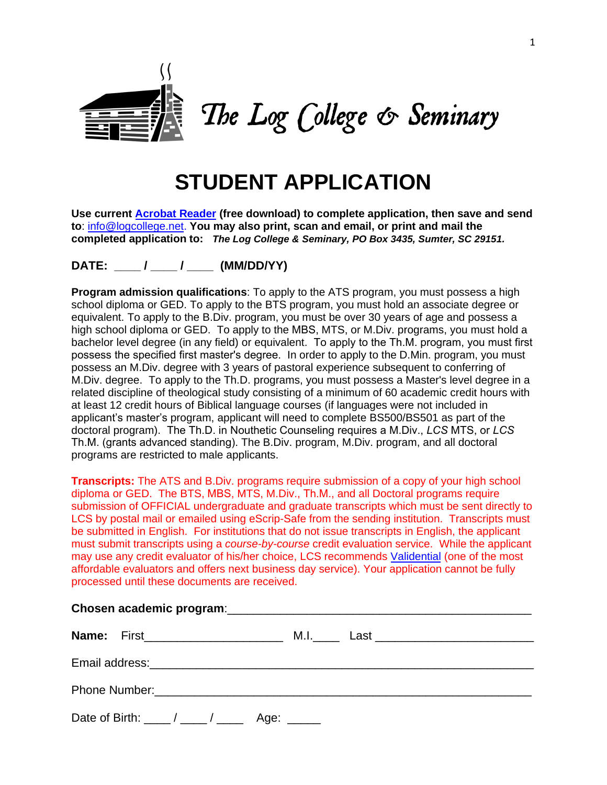

# **STUDENT APPLICATION**

**Use current [Acrobat Reader](https://acrobat.adobe.com/us/en/products/pdf-reader.html) (free download) to complete application, then save and send to**[: info@logcollege.net.](mailto:info@logcollege.net) **You may also print, scan and email, or print and mail the completed application to:** *The Log College & Seminary, PO Box 3435, Sumter, SC 29151.*

**DATE: \_\_\_\_ / \_\_\_\_ / \_\_\_\_ (MM/DD/YY)** 

**Program admission qualifications**: To apply to the ATS program, you must possess a high school diploma or GED. To apply to the BTS program, you must hold an associate degree or equivalent. To apply to the B.Div. program, you must be over 30 years of age and possess a high school diploma or GED. To apply to the MBS, MTS, or M.Div. programs, you must hold a bachelor level degree (in any field) or equivalent. To apply to the Th.M. program, you must first possess the specified first master's degree. In order to apply to the D.Min. program, you must possess an M.Div. degree with 3 years of pastoral experience subsequent to conferring of M.Div. degree. To apply to the Th.D. programs, you must possess a Master's level degree in a related discipline of theological study consisting of a minimum of 60 academic credit hours with at least 12 credit hours of Biblical language courses (if languages were not included in applicant's master's program, applicant will need to complete BS500/BS501 as part of the doctoral program). The Th.D. in Nouthetic Counseling requires a M.Div., *LCS* MTS, or *LCS* Th.M. (grants advanced standing). The B.Div. program, M.Div. program, and all doctoral programs are restricted to male applicants.

**Transcripts:** The ATS and B.Div. programs require submission of a copy of your high school diploma or GED. The BTS, MBS, MTS, M.Div., Th.M., and all Doctoral programs require submission of OFFICIAL undergraduate and graduate transcripts which must be sent directly to LCS by postal mail or emailed using eScrip-Safe from the sending institution. Transcripts must be submitted in English. For institutions that do not issue transcripts in English, the applicant must submit transcripts using a *course-by-course* credit evaluation service. While the applicant may use any credit evaluator of his/her choice, LCS recommends [Validential](http://www.validential.com/) (one of the most affordable evaluators and offers next business day service). Your application cannot be fully processed until these documents are received.

|  | <b>Name:</b> First_________________________                                              |  |  |  | M.I.______ Last _________________________________ |  |  |  |
|--|------------------------------------------------------------------------------------------|--|--|--|---------------------------------------------------|--|--|--|
|  |                                                                                          |  |  |  |                                                   |  |  |  |
|  |                                                                                          |  |  |  |                                                   |  |  |  |
|  | Date of Birth: $\frac{1}{\sqrt{1-\frac{1}{1-\cdots}}}\$ Age: $\frac{1}{\sqrt{1-\cdots}}$ |  |  |  |                                                   |  |  |  |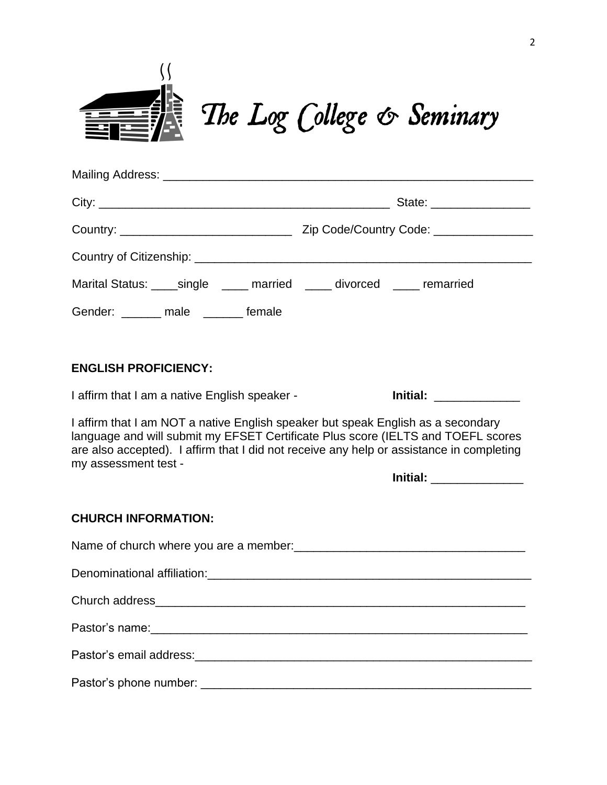

| Marital Status: _____ single ______ married ______ divorced _____ remarried                                                                                                                                                                                                                                          |  |  |  |  |  |  |
|----------------------------------------------------------------------------------------------------------------------------------------------------------------------------------------------------------------------------------------------------------------------------------------------------------------------|--|--|--|--|--|--|
| Gender: _______ male ______ female                                                                                                                                                                                                                                                                                   |  |  |  |  |  |  |
| <b>ENGLISH PROFICIENCY:</b>                                                                                                                                                                                                                                                                                          |  |  |  |  |  |  |
| I affirm that I am a native English speaker -                                                                                                                                                                                                                                                                        |  |  |  |  |  |  |
| I affirm that I am NOT a native English speaker but speak English as a secondary<br>language and will submit my EFSET Certificate Plus score (IELTS and TOEFL scores<br>are also accepted). I affirm that I did not receive any help or assistance in completing<br>my assessment test -<br>Initial: _______________ |  |  |  |  |  |  |
| <b>CHURCH INFORMATION:</b>                                                                                                                                                                                                                                                                                           |  |  |  |  |  |  |
|                                                                                                                                                                                                                                                                                                                      |  |  |  |  |  |  |
|                                                                                                                                                                                                                                                                                                                      |  |  |  |  |  |  |
|                                                                                                                                                                                                                                                                                                                      |  |  |  |  |  |  |
|                                                                                                                                                                                                                                                                                                                      |  |  |  |  |  |  |
|                                                                                                                                                                                                                                                                                                                      |  |  |  |  |  |  |
| Pastor's phone number:                                                                                                                                                                                                                                                                                               |  |  |  |  |  |  |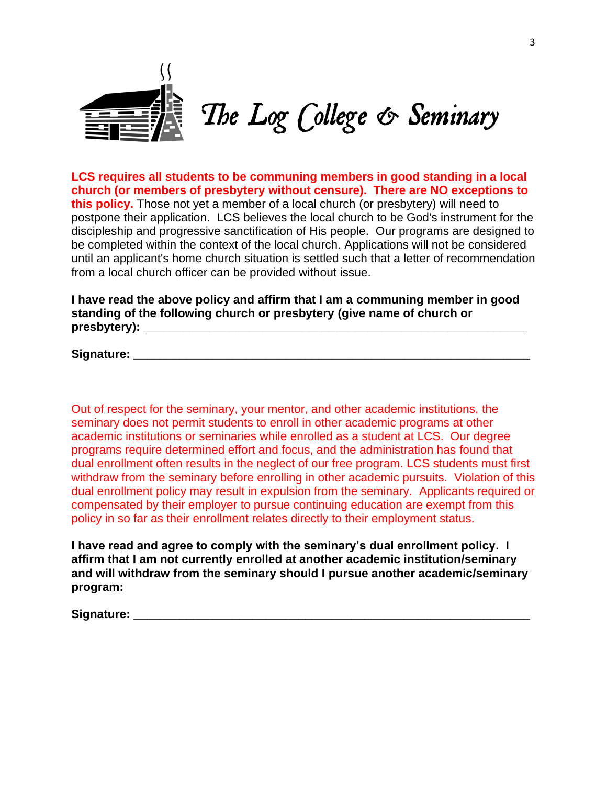

**LCS requires all students to be communing members in good standing in a local church (or members of presbytery without censure). There are NO exceptions to this policy.** Those not yet a member of a local church (or presbytery) will need to postpone their application. LCS believes the local church to be God's instrument for the discipleship and progressive sanctification of His people. Our programs are designed to be completed within the context of the local church. Applications will not be considered until an applicant's home church situation is settled such that a letter of recommendation from a local church officer can be provided without issue.

**I have read the above policy and affirm that I am a communing member in good standing of the following church or presbytery (give name of church or presbytery): \_\_\_\_\_\_\_\_\_\_\_\_\_\_\_\_\_\_\_\_\_\_\_\_\_\_\_\_\_\_\_\_\_\_\_\_\_\_\_\_\_\_\_\_\_\_\_\_\_\_\_\_\_\_\_\_\_\_**

**Signature:**  $\blacksquare$ 

Out of respect for the seminary, your mentor, and other academic institutions, the seminary does not permit students to enroll in other academic programs at other academic institutions or seminaries while enrolled as a student at LCS. Our degree programs require determined effort and focus, and the administration has found that dual enrollment often results in the neglect of our free program. LCS students must first withdraw from the seminary before enrolling in other academic pursuits. Violation of this dual enrollment policy may result in expulsion from the seminary. Applicants required or compensated by their employer to pursue continuing education are exempt from this policy in so far as their enrollment relates directly to their employment status.

**I have read and agree to comply with the seminary's dual enrollment policy. I affirm that I am not currently enrolled at another academic institution/seminary and will withdraw from the seminary should I pursue another academic/seminary program:**

**Signature:**  $\blacksquare$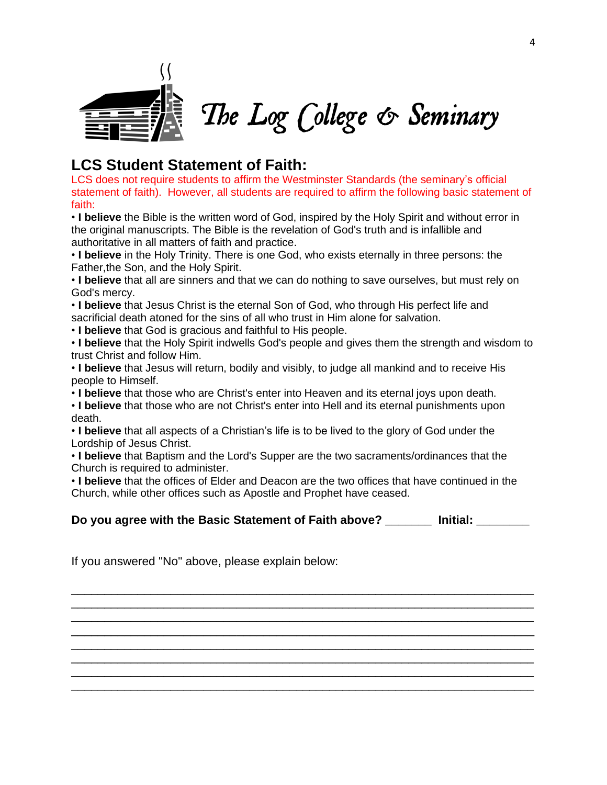

# **LCS Student Statement of Faith:**

LCS does not require students to affirm the Westminster Standards (the seminary's official statement of faith). However, all students are required to affirm the following basic statement of faith:

• **I believe** the Bible is the written word of God, inspired by the Holy Spirit and without error in the original manuscripts. The Bible is the revelation of God's truth and is infallible and authoritative in all matters of faith and practice.

• **I believe** in the Holy Trinity. There is one God, who exists eternally in three persons: the Father,the Son, and the Holy Spirit.

• **I believe** that all are sinners and that we can do nothing to save ourselves, but must rely on God's mercy.

• **I believe** that Jesus Christ is the eternal Son of God, who through His perfect life and sacrificial death atoned for the sins of all who trust in Him alone for salvation.

• **I believe** that God is gracious and faithful to His people.

• **I believe** that the Holy Spirit indwells God's people and gives them the strength and wisdom to trust Christ and follow Him.

• **I believe** that Jesus will return, bodily and visibly, to judge all mankind and to receive His people to Himself.

• **I believe** that those who are Christ's enter into Heaven and its eternal joys upon death.

• **I believe** that those who are not Christ's enter into Hell and its eternal punishments upon death.

• **I believe** that all aspects of a Christian's life is to be lived to the glory of God under the Lordship of Jesus Christ.

• **I believe** that Baptism and the Lord's Supper are the two sacraments/ordinances that the Church is required to administer.

• **I believe** that the offices of Elder and Deacon are the two offices that have continued in the Church, while other offices such as Apostle and Prophet have ceased.

**Do you agree with the Basic Statement of Faith above? \_\_\_\_\_\_\_ Initial: \_\_\_\_\_\_\_\_**

\_\_\_\_\_\_\_\_\_\_\_\_\_\_\_\_\_\_\_\_\_\_\_\_\_\_\_\_\_\_\_\_\_\_\_\_\_\_\_\_\_\_\_\_\_\_\_\_\_\_\_\_\_\_\_\_\_\_\_\_\_\_\_\_\_\_\_\_\_\_ \_\_\_\_\_\_\_\_\_\_\_\_\_\_\_\_\_\_\_\_\_\_\_\_\_\_\_\_\_\_\_\_\_\_\_\_\_\_\_\_\_\_\_\_\_\_\_\_\_\_\_\_\_\_\_\_\_\_\_\_\_\_\_\_\_\_\_\_\_\_ \_\_\_\_\_\_\_\_\_\_\_\_\_\_\_\_\_\_\_\_\_\_\_\_\_\_\_\_\_\_\_\_\_\_\_\_\_\_\_\_\_\_\_\_\_\_\_\_\_\_\_\_\_\_\_\_\_\_\_\_\_\_\_\_\_\_\_\_\_\_ \_\_\_\_\_\_\_\_\_\_\_\_\_\_\_\_\_\_\_\_\_\_\_\_\_\_\_\_\_\_\_\_\_\_\_\_\_\_\_\_\_\_\_\_\_\_\_\_\_\_\_\_\_\_\_\_\_\_\_\_\_\_\_\_\_\_\_\_\_\_ \_\_\_\_\_\_\_\_\_\_\_\_\_\_\_\_\_\_\_\_\_\_\_\_\_\_\_\_\_\_\_\_\_\_\_\_\_\_\_\_\_\_\_\_\_\_\_\_\_\_\_\_\_\_\_\_\_\_\_\_\_\_\_\_\_\_\_\_\_\_ \_\_\_\_\_\_\_\_\_\_\_\_\_\_\_\_\_\_\_\_\_\_\_\_\_\_\_\_\_\_\_\_\_\_\_\_\_\_\_\_\_\_\_\_\_\_\_\_\_\_\_\_\_\_\_\_\_\_\_\_\_\_\_\_\_\_\_\_\_\_ \_\_\_\_\_\_\_\_\_\_\_\_\_\_\_\_\_\_\_\_\_\_\_\_\_\_\_\_\_\_\_\_\_\_\_\_\_\_\_\_\_\_\_\_\_\_\_\_\_\_\_\_\_\_\_\_\_\_\_\_\_\_\_\_\_\_\_\_\_\_ \_\_\_\_\_\_\_\_\_\_\_\_\_\_\_\_\_\_\_\_\_\_\_\_\_\_\_\_\_\_\_\_\_\_\_\_\_\_\_\_\_\_\_\_\_\_\_\_\_\_\_\_\_\_\_\_\_\_\_\_\_\_\_\_\_\_\_\_\_\_

If you answered "No" above, please explain below: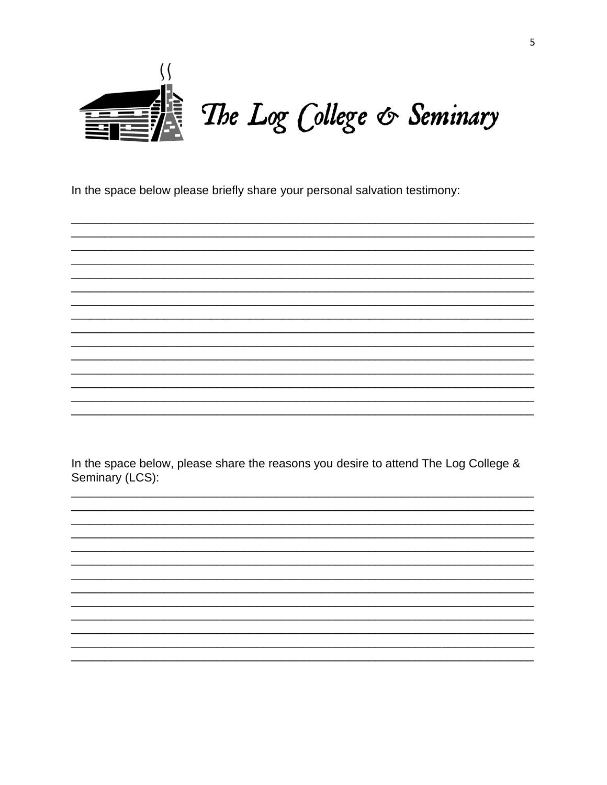

In the space below please briefly share your personal salvation testimony:

In the space below, please share the reasons you desire to attend The Log College & Seminary (LCS):

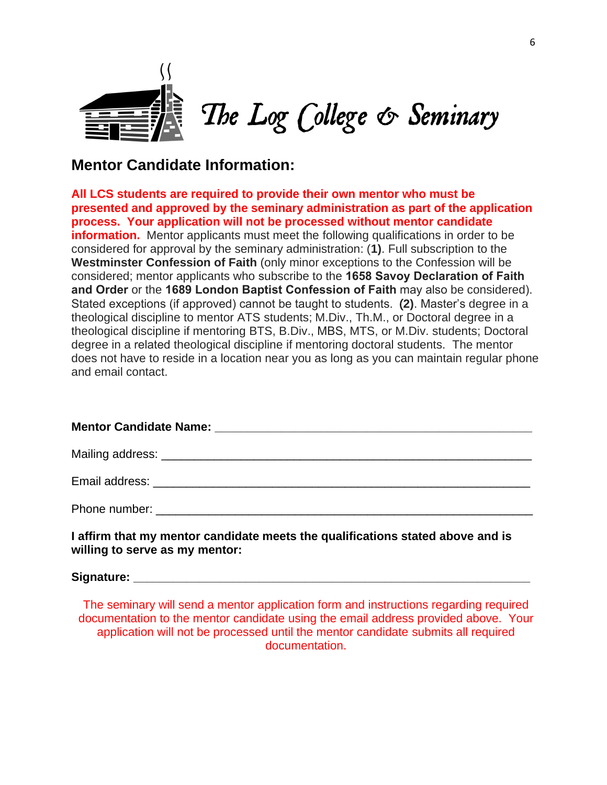

# **Mentor Candidate Information:**

**All LCS students are required to provide their own mentor who must be presented and approved by the seminary administration as part of the application process. Your application will not be processed without mentor candidate information.** Mentor applicants must meet the following qualifications in order to be considered for approval by the seminary administration: (**1)**. Full subscription to the **Westminster Confession of Faith** (only minor exceptions to the Confession will be considered; mentor applicants who subscribe to the **1658 Savoy Declaration of Faith and Order** or the **1689 London Baptist Confession of Faith** may also be considered). Stated exceptions (if approved) cannot be taught to students. (**2)**. Master's degree in a theological discipline to mentor ATS students; M.Div., Th.M., or Doctoral degree in a theological discipline if mentoring BTS, B.Div., MBS, MTS, or M.Div. students; Doctoral degree in a related theological discipline if mentoring doctoral students. The mentor does not have to reside in a location near you as long as you can maintain regular phone and email contact.

| Phone number: |  |  |  |  |
|---------------|--|--|--|--|

**I affirm that my mentor candidate meets the qualifications stated above and is willing to serve as my mentor:** 

Signature:

The seminary will send a mentor application form and instructions regarding required documentation to the mentor candidate using the email address provided above. Your application will not be processed until the mentor candidate submits all required documentation.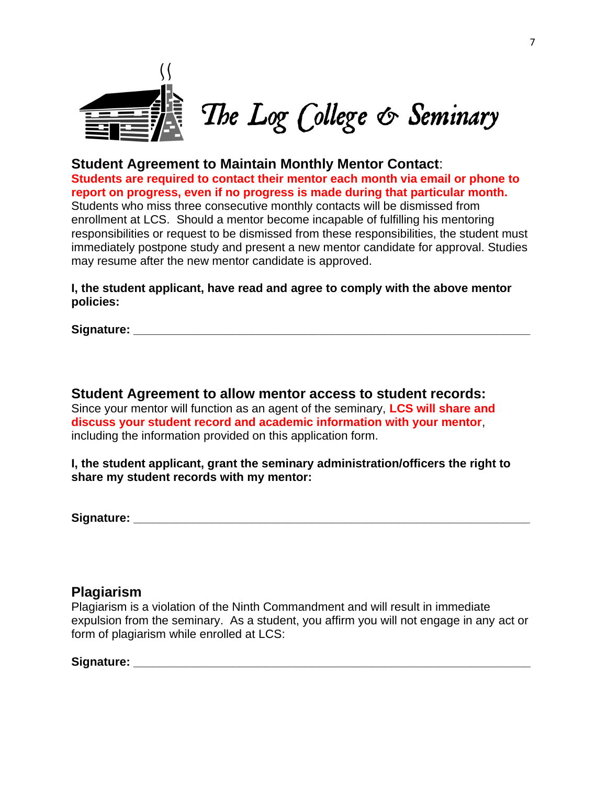

**Student Agreement to Maintain Monthly Mentor Contact**: **Students are required to contact their mentor each month via email or phone to report on progress, even if no progress is made during that particular month.** Students who miss three consecutive monthly contacts will be dismissed from enrollment at LCS. Should a mentor become incapable of fulfilling his mentoring responsibilities or request to be dismissed from these responsibilities, the student must immediately postpone study and present a new mentor candidate for approval. Studies may resume after the new mentor candidate is approved.

**I, the student applicant, have read and agree to comply with the above mentor policies:**

**Signature: \_\_\_\_\_\_\_\_\_\_\_\_\_\_\_\_\_\_\_\_\_\_\_\_\_\_\_\_\_\_\_\_\_\_\_\_\_\_\_\_\_\_\_\_\_\_\_\_\_\_\_\_\_\_\_\_\_\_\_\_**

**Student Agreement to allow mentor access to student records:** Since your mentor will function as an agent of the seminary, **LCS will share and discuss your student record and academic information with your mentor**, including the information provided on this application form.

**I, the student applicant, grant the seminary administration/officers the right to share my student records with my mentor:**

**Signature: \_\_\_\_\_\_\_\_\_\_\_\_\_\_\_\_\_\_\_\_\_\_\_\_\_\_\_\_\_\_\_\_\_\_\_\_\_\_\_\_\_\_\_\_\_\_\_\_\_\_\_\_\_\_\_\_\_\_\_\_**

### **Plagiarism**

Plagiarism is a violation of the Ninth Commandment and will result in immediate expulsion from the seminary. As a student, you affirm you will not engage in any act or form of plagiarism while enrolled at LCS:

#### **Signature: \_\_\_\_\_\_\_\_\_\_\_\_\_\_\_\_\_\_\_\_\_\_\_\_\_\_\_\_\_\_\_\_\_\_\_\_\_\_\_\_\_\_\_\_\_\_\_\_\_\_\_\_\_\_\_\_\_\_\_\_**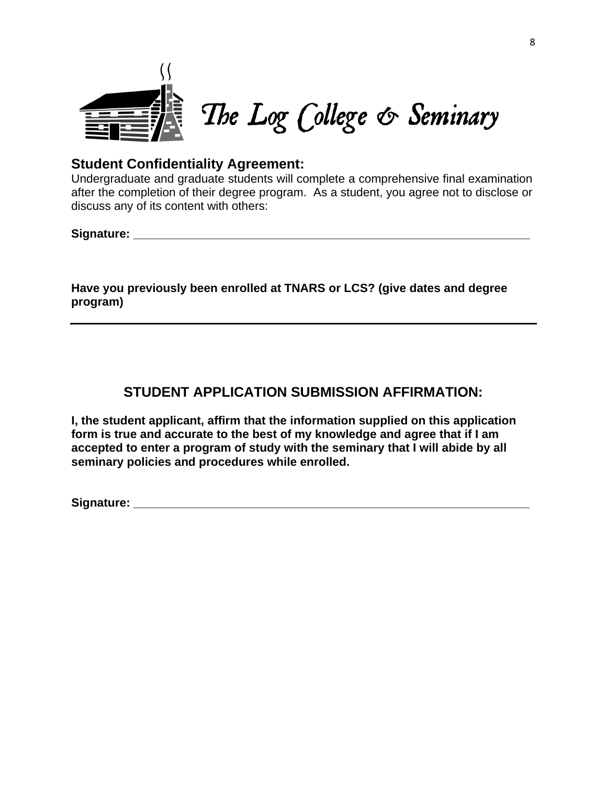

### **Student Confidentiality Agreement:**

Undergraduate and graduate students will complete a comprehensive final examination after the completion of their degree program. As a student, you agree not to disclose or discuss any of its content with others:

**Signature: \_\_\_\_\_\_\_\_\_\_\_\_\_\_\_\_\_\_\_\_\_\_\_\_\_\_\_\_\_\_\_\_\_\_\_\_\_\_\_\_\_\_\_\_\_\_\_\_\_\_\_\_\_\_\_\_\_\_\_\_** 

**Have you previously been enrolled at TNARS or LCS? (give dates and degree program)** 

## **STUDENT APPLICATION SUBMISSION AFFIRMATION:**

**I, the student applicant, affirm that the information supplied on this application form is true and accurate to the best of my knowledge and agree that if I am accepted to enter a program of study with the seminary that I will abide by all seminary policies and procedures while enrolled.**

**Signature: Signature:** *with the state of the state of the state of the state of the state of the state of the state of the state of the state of the state of the state of the state of the state of the state of the sta*